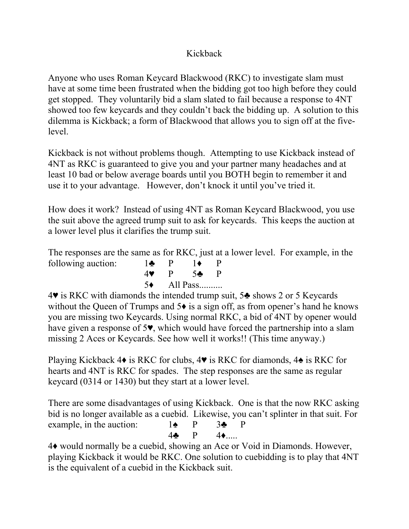## Kickback

Anyone who uses Roman Keycard Blackwood (RKC) to investigate slam must have at some time been frustrated when the bidding got too high before they could get stopped. They voluntarily bid a slam slated to fail because a response to 4NT showed too few keycards and they couldn't back the bidding up. A solution to this dilemma is Kickback; a form of Blackwood that allows you to sign off at the fivelevel.

Kickback is not without problems though. Attempting to use Kickback instead of 4NT as RKC is guaranteed to give you and your partner many headaches and at least 10 bad or below average boards until you BOTH begin to remember it and use it to your advantage. However, don't knock it until you've tried it.

How does it work? Instead of using 4NT as Roman Keycard Blackwood, you use the suit above the agreed trump suit to ask for keycards. This keeps the auction at a lower level plus it clarifies the trump suit.

The responses are the same as for RKC, just at a lower level. For example, in the following auction:  $1 \cdot P$  1 $\bullet$ 

| TOITOWING auction. |  | $\blacksquare$            |  |
|--------------------|--|---------------------------|--|
|                    |  | $4\bullet$ P $5\bullet$ P |  |
|                    |  | $5\bullet$ All Pass       |  |

4♥ is RKC with diamonds the intended trump suit, 5♣ shows 2 or 5 Keycards without the Queen of Trumps and  $5\bullet$  is a sign off, as from opener's hand he knows you are missing two Keycards. Using normal RKC, a bid of 4NT by opener would have given a response of 5♥, which would have forced the partnership into a slam missing 2 Aces or Keycards. See how well it works!! (This time anyway.)

Playing Kickback 4 $\bullet$  is RKC for clubs, 4 $\bullet$  is RKC for diamonds, 4 $\bullet$  is RKC for hearts and 4NT is RKC for spades. The step responses are the same as regular keycard (0314 or 1430) but they start at a lower level.

There are some disadvantages of using Kickback. One is that the now RKC asking bid is no longer available as a cuebid. Likewise, you can't splinter in that suit. For example, in the auction:  $1 \triangle P$  3 $\triangle P$  P  $4 \cdot P$  4 $\cdot \cdot \cdot P$ 

4♦ would normally be a cuebid, showing an Ace or Void in Diamonds. However, playing Kickback it would be RKC. One solution to cuebidding is to play that 4NT is the equivalent of a cuebid in the Kickback suit.